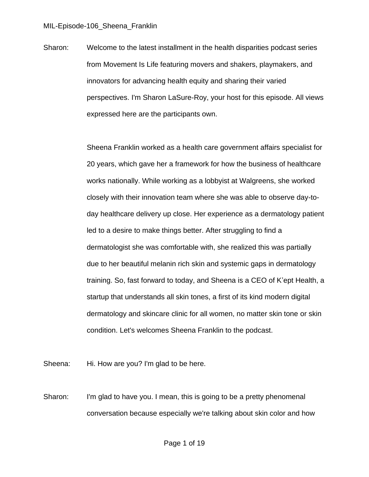Sharon: Welcome to the latest installment in the health disparities podcast series from Movement Is Life featuring movers and shakers, playmakers, and innovators for advancing health equity and sharing their varied perspectives. I'm Sharon LaSure-Roy, your host for this episode. All views expressed here are the participants own.

> Sheena Franklin worked as a health care government affairs specialist for 20 years, which gave her a framework for how the business of healthcare works nationally. While working as a lobbyist at Walgreens, she worked closely with their innovation team where she was able to observe day-today healthcare delivery up close. Her experience as a dermatology patient led to a desire to make things better. After struggling to find a dermatologist she was comfortable with, she realized this was partially due to her beautiful melanin rich skin and systemic gaps in dermatology training. So, fast forward to today, and Sheena is a CEO of K'ept Health, a startup that understands all skin tones, a first of its kind modern digital dermatology and skincare clinic for all women, no matter skin tone or skin condition. Let's welcomes Sheena Franklin to the podcast.

Sheena: Hi. How are you? I'm glad to be here.

Sharon: I'm glad to have you. I mean, this is going to be a pretty phenomenal conversation because especially we're talking about skin color and how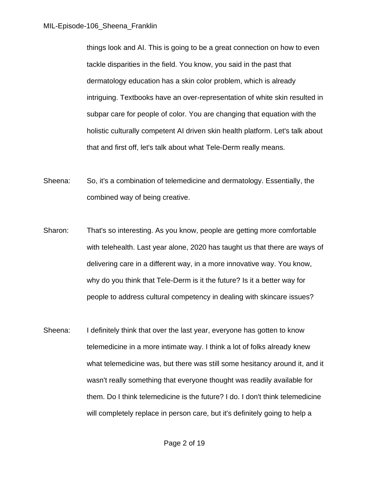things look and AI. This is going to be a great connection on how to even tackle disparities in the field. You know, you said in the past that dermatology education has a skin color problem, which is already intriguing. Textbooks have an over-representation of white skin resulted in subpar care for people of color. You are changing that equation with the holistic culturally competent AI driven skin health platform. Let's talk about that and first off, let's talk about what Tele-Derm really means.

- Sheena: So, it's a combination of telemedicine and dermatology. Essentially, the combined way of being creative.
- Sharon: That's so interesting. As you know, people are getting more comfortable with telehealth. Last year alone, 2020 has taught us that there are ways of delivering care in a different way, in a more innovative way. You know, why do you think that Tele-Derm is it the future? Is it a better way for people to address cultural competency in dealing with skincare issues?
- Sheena: I definitely think that over the last year, everyone has gotten to know telemedicine in a more intimate way. I think a lot of folks already knew what telemedicine was, but there was still some hesitancy around it, and it wasn't really something that everyone thought was readily available for them. Do I think telemedicine is the future? I do. I don't think telemedicine will completely replace in person care, but it's definitely going to help a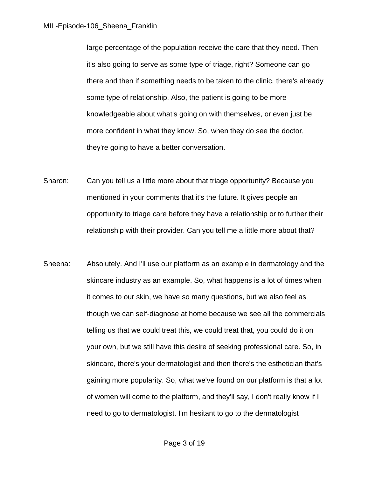large percentage of the population receive the care that they need. Then it's also going to serve as some type of triage, right? Someone can go there and then if something needs to be taken to the clinic, there's already some type of relationship. Also, the patient is going to be more knowledgeable about what's going on with themselves, or even just be more confident in what they know. So, when they do see the doctor, they're going to have a better conversation.

- Sharon: Can you tell us a little more about that triage opportunity? Because you mentioned in your comments that it's the future. It gives people an opportunity to triage care before they have a relationship or to further their relationship with their provider. Can you tell me a little more about that?
- Sheena: Absolutely. And I'll use our platform as an example in dermatology and the skincare industry as an example. So, what happens is a lot of times when it comes to our skin, we have so many questions, but we also feel as though we can self-diagnose at home because we see all the commercials telling us that we could treat this, we could treat that, you could do it on your own, but we still have this desire of seeking professional care. So, in skincare, there's your dermatologist and then there's the esthetician that's gaining more popularity. So, what we've found on our platform is that a lot of women will come to the platform, and they'll say, I don't really know if I need to go to dermatologist. I'm hesitant to go to the dermatologist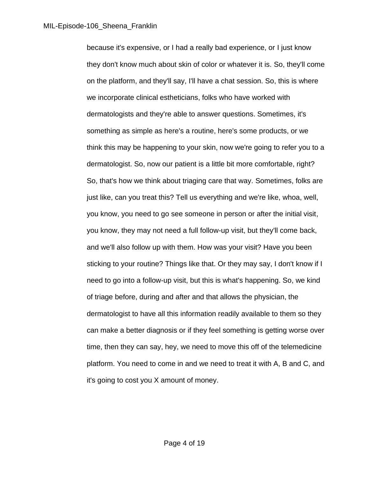because it's expensive, or I had a really bad experience, or I just know they don't know much about skin of color or whatever it is. So, they'll come on the platform, and they'll say, I'll have a chat session. So, this is where we incorporate clinical estheticians, folks who have worked with dermatologists and they're able to answer questions. Sometimes, it's something as simple as here's a routine, here's some products, or we think this may be happening to your skin, now we're going to refer you to a dermatologist. So, now our patient is a little bit more comfortable, right? So, that's how we think about triaging care that way. Sometimes, folks are just like, can you treat this? Tell us everything and we're like, whoa, well, you know, you need to go see someone in person or after the initial visit, you know, they may not need a full follow-up visit, but they'll come back, and we'll also follow up with them. How was your visit? Have you been sticking to your routine? Things like that. Or they may say, I don't know if I need to go into a follow-up visit, but this is what's happening. So, we kind of triage before, during and after and that allows the physician, the dermatologist to have all this information readily available to them so they can make a better diagnosis or if they feel something is getting worse over time, then they can say, hey, we need to move this off of the telemedicine platform. You need to come in and we need to treat it with A, B and C, and it's going to cost you X amount of money.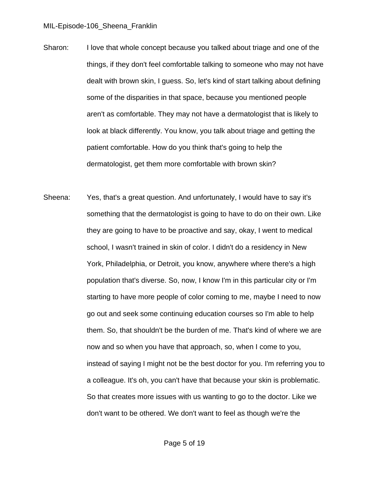- Sharon: I love that whole concept because you talked about triage and one of the things, if they don't feel comfortable talking to someone who may not have dealt with brown skin, I guess. So, let's kind of start talking about defining some of the disparities in that space, because you mentioned people aren't as comfortable. They may not have a dermatologist that is likely to look at black differently. You know, you talk about triage and getting the patient comfortable. How do you think that's going to help the dermatologist, get them more comfortable with brown skin?
- Sheena: Yes, that's a great question. And unfortunately, I would have to say it's something that the dermatologist is going to have to do on their own. Like they are going to have to be proactive and say, okay, I went to medical school, I wasn't trained in skin of color. I didn't do a residency in New York, Philadelphia, or Detroit, you know, anywhere where there's a high population that's diverse. So, now, I know I'm in this particular city or I'm starting to have more people of color coming to me, maybe I need to now go out and seek some continuing education courses so I'm able to help them. So, that shouldn't be the burden of me. That's kind of where we are now and so when you have that approach, so, when I come to you, instead of saying I might not be the best doctor for you. I'm referring you to a colleague. It's oh, you can't have that because your skin is problematic. So that creates more issues with us wanting to go to the doctor. Like we don't want to be othered. We don't want to feel as though we're the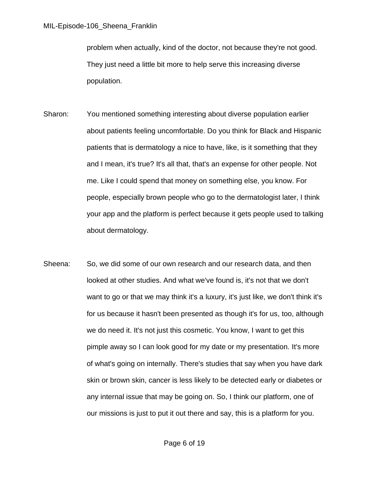problem when actually, kind of the doctor, not because they're not good. They just need a little bit more to help serve this increasing diverse population.

- Sharon: You mentioned something interesting about diverse population earlier about patients feeling uncomfortable. Do you think for Black and Hispanic patients that is dermatology a nice to have, like, is it something that they and I mean, it's true? It's all that, that's an expense for other people. Not me. Like I could spend that money on something else, you know. For people, especially brown people who go to the dermatologist later, I think your app and the platform is perfect because it gets people used to talking about dermatology.
- Sheena: So, we did some of our own research and our research data, and then looked at other studies. And what we've found is, it's not that we don't want to go or that we may think it's a luxury, it's just like, we don't think it's for us because it hasn't been presented as though it's for us, too, although we do need it. It's not just this cosmetic. You know, I want to get this pimple away so I can look good for my date or my presentation. It's more of what's going on internally. There's studies that say when you have dark skin or brown skin, cancer is less likely to be detected early or diabetes or any internal issue that may be going on. So, I think our platform, one of our missions is just to put it out there and say, this is a platform for you.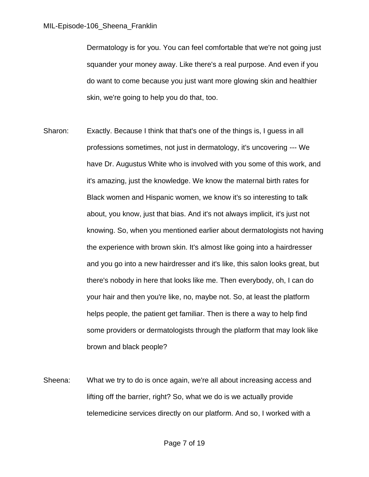Dermatology is for you. You can feel comfortable that we're not going just squander your money away. Like there's a real purpose. And even if you do want to come because you just want more glowing skin and healthier skin, we're going to help you do that, too.

- Sharon: Exactly. Because I think that that's one of the things is, I guess in all professions sometimes, not just in dermatology, it's uncovering --- We have Dr. Augustus White who is involved with you some of this work, and it's amazing, just the knowledge. We know the maternal birth rates for Black women and Hispanic women, we know it's so interesting to talk about, you know, just that bias. And it's not always implicit, it's just not knowing. So, when you mentioned earlier about dermatologists not having the experience with brown skin. It's almost like going into a hairdresser and you go into a new hairdresser and it's like, this salon looks great, but there's nobody in here that looks like me. Then everybody, oh, I can do your hair and then you're like, no, maybe not. So, at least the platform helps people, the patient get familiar. Then is there a way to help find some providers or dermatologists through the platform that may look like brown and black people?
- Sheena: What we try to do is once again, we're all about increasing access and lifting off the barrier, right? So, what we do is we actually provide telemedicine services directly on our platform. And so, I worked with a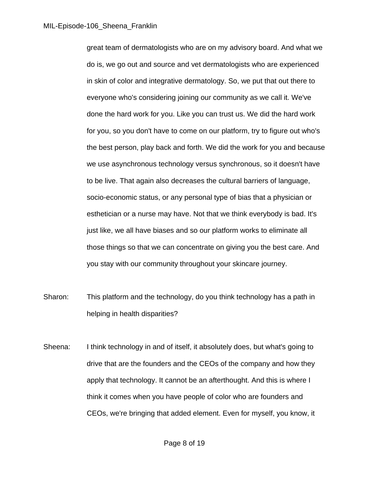great team of dermatologists who are on my advisory board. And what we do is, we go out and source and vet dermatologists who are experienced in skin of color and integrative dermatology. So, we put that out there to everyone who's considering joining our community as we call it. We've done the hard work for you. Like you can trust us. We did the hard work for you, so you don't have to come on our platform, try to figure out who's the best person, play back and forth. We did the work for you and because we use asynchronous technology versus synchronous, so it doesn't have to be live. That again also decreases the cultural barriers of language, socio-economic status, or any personal type of bias that a physician or esthetician or a nurse may have. Not that we think everybody is bad. It's just like, we all have biases and so our platform works to eliminate all those things so that we can concentrate on giving you the best care. And you stay with our community throughout your skincare journey.

- Sharon: This platform and the technology, do you think technology has a path in helping in health disparities?
- Sheena: I think technology in and of itself, it absolutely does, but what's going to drive that are the founders and the CEOs of the company and how they apply that technology. It cannot be an afterthought. And this is where I think it comes when you have people of color who are founders and CEOs, we're bringing that added element. Even for myself, you know, it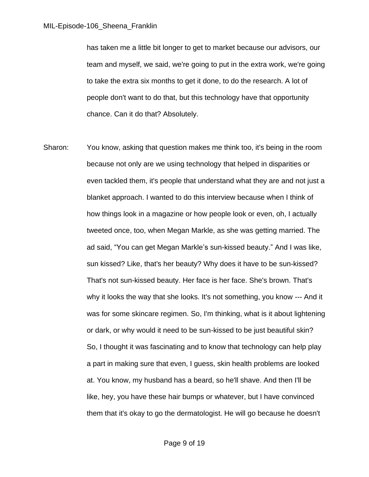has taken me a little bit longer to get to market because our advisors, our team and myself, we said, we're going to put in the extra work, we're going to take the extra six months to get it done, to do the research. A lot of people don't want to do that, but this technology have that opportunity chance. Can it do that? Absolutely.

Sharon: You know, asking that question makes me think too, it's being in the room because not only are we using technology that helped in disparities or even tackled them, it's people that understand what they are and not just a blanket approach. I wanted to do this interview because when I think of how things look in a magazine or how people look or even, oh, I actually tweeted once, too, when Megan Markle, as she was getting married. The ad said, "You can get Megan Markle's sun-kissed beauty." And I was like, sun kissed? Like, that's her beauty? Why does it have to be sun-kissed? That's not sun-kissed beauty. Her face is her face. She's brown. That's why it looks the way that she looks. It's not something, you know --- And it was for some skincare regimen. So, I'm thinking, what is it about lightening or dark, or why would it need to be sun-kissed to be just beautiful skin? So, I thought it was fascinating and to know that technology can help play a part in making sure that even, I guess, skin health problems are looked at. You know, my husband has a beard, so he'll shave. And then I'll be like, hey, you have these hair bumps or whatever, but I have convinced them that it's okay to go the dermatologist. He will go because he doesn't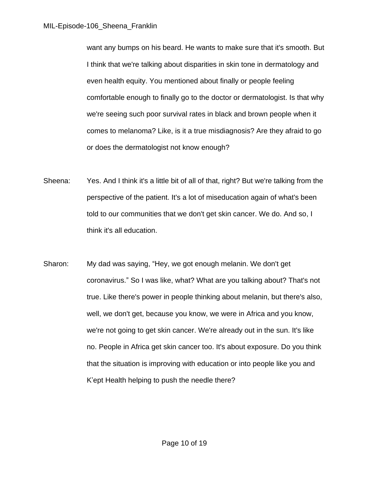want any bumps on his beard. He wants to make sure that it's smooth. But I think that we're talking about disparities in skin tone in dermatology and even health equity. You mentioned about finally or people feeling comfortable enough to finally go to the doctor or dermatologist. Is that why we're seeing such poor survival rates in black and brown people when it comes to melanoma? Like, is it a true misdiagnosis? Are they afraid to go or does the dermatologist not know enough?

- Sheena: Yes. And I think it's a little bit of all of that, right? But we're talking from the perspective of the patient. It's a lot of miseducation again of what's been told to our communities that we don't get skin cancer. We do. And so, I think it's all education.
- Sharon: My dad was saying, "Hey, we got enough melanin. We don't get coronavirus." So I was like, what? What are you talking about? That's not true. Like there's power in people thinking about melanin, but there's also, well, we don't get, because you know, we were in Africa and you know, we're not going to get skin cancer. We're already out in the sun. It's like no. People in Africa get skin cancer too. It's about exposure. Do you think that the situation is improving with education or into people like you and K'ept Health helping to push the needle there?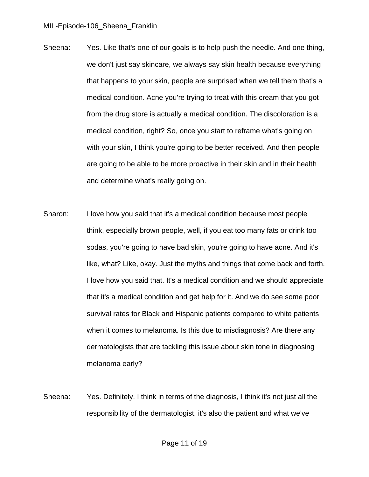- Sheena: Yes. Like that's one of our goals is to help push the needle. And one thing, we don't just say skincare, we always say skin health because everything that happens to your skin, people are surprised when we tell them that's a medical condition. Acne you're trying to treat with this cream that you got from the drug store is actually a medical condition. The discoloration is a medical condition, right? So, once you start to reframe what's going on with your skin, I think you're going to be better received. And then people are going to be able to be more proactive in their skin and in their health and determine what's really going on.
- Sharon: I love how you said that it's a medical condition because most people think, especially brown people, well, if you eat too many fats or drink too sodas, you're going to have bad skin, you're going to have acne. And it's like, what? Like, okay. Just the myths and things that come back and forth. I love how you said that. It's a medical condition and we should appreciate that it's a medical condition and get help for it. And we do see some poor survival rates for Black and Hispanic patients compared to white patients when it comes to melanoma. Is this due to misdiagnosis? Are there any dermatologists that are tackling this issue about skin tone in diagnosing melanoma early?
- Sheena: Yes. Definitely. I think in terms of the diagnosis, I think it's not just all the responsibility of the dermatologist, it's also the patient and what we've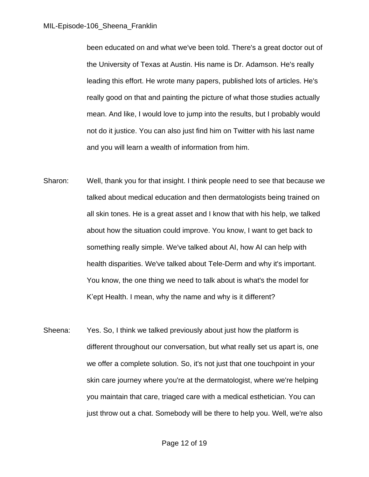been educated on and what we've been told. There's a great doctor out of the University of Texas at Austin. His name is Dr. Adamson. He's really leading this effort. He wrote many papers, published lots of articles. He's really good on that and painting the picture of what those studies actually mean. And like, I would love to jump into the results, but I probably would not do it justice. You can also just find him on Twitter with his last name and you will learn a wealth of information from him.

- Sharon: Well, thank you for that insight. I think people need to see that because we talked about medical education and then dermatologists being trained on all skin tones. He is a great asset and I know that with his help, we talked about how the situation could improve. You know, I want to get back to something really simple. We've talked about AI, how AI can help with health disparities. We've talked about Tele-Derm and why it's important. You know, the one thing we need to talk about is what's the model for K'ept Health. I mean, why the name and why is it different?
- Sheena: Yes. So, I think we talked previously about just how the platform is different throughout our conversation, but what really set us apart is, one we offer a complete solution. So, it's not just that one touchpoint in your skin care journey where you're at the dermatologist, where we're helping you maintain that care, triaged care with a medical esthetician. You can just throw out a chat. Somebody will be there to help you. Well, we're also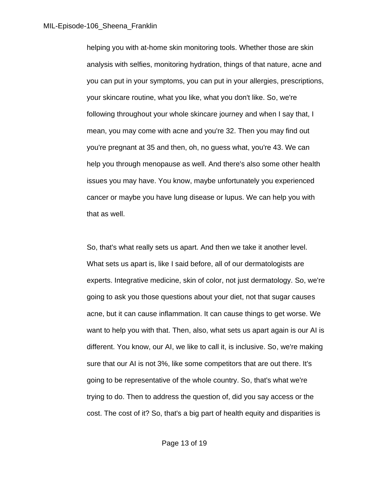helping you with at-home skin monitoring tools. Whether those are skin analysis with selfies, monitoring hydration, things of that nature, acne and you can put in your symptoms, you can put in your allergies, prescriptions, your skincare routine, what you like, what you don't like. So, we're following throughout your whole skincare journey and when I say that, I mean, you may come with acne and you're 32. Then you may find out you're pregnant at 35 and then, oh, no guess what, you're 43. We can help you through menopause as well. And there's also some other health issues you may have. You know, maybe unfortunately you experienced cancer or maybe you have lung disease or lupus. We can help you with that as well.

So, that's what really sets us apart. And then we take it another level. What sets us apart is, like I said before, all of our dermatologists are experts. Integrative medicine, skin of color, not just dermatology. So, we're going to ask you those questions about your diet, not that sugar causes acne, but it can cause inflammation. It can cause things to get worse. We want to help you with that. Then, also, what sets us apart again is our AI is different. You know, our AI, we like to call it, is inclusive. So, we're making sure that our AI is not 3%, like some competitors that are out there. It's going to be representative of the whole country. So, that's what we're trying to do. Then to address the question of, did you say access or the cost. The cost of it? So, that's a big part of health equity and disparities is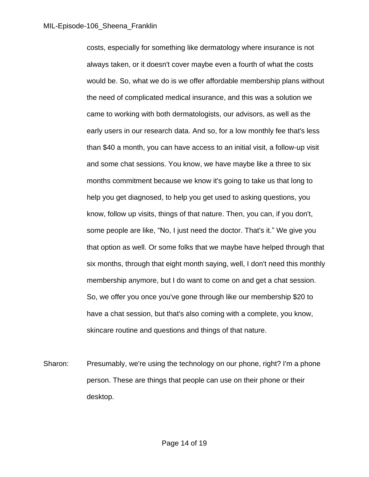costs, especially for something like dermatology where insurance is not always taken, or it doesn't cover maybe even a fourth of what the costs would be. So, what we do is we offer affordable membership plans without the need of complicated medical insurance, and this was a solution we came to working with both dermatologists, our advisors, as well as the early users in our research data. And so, for a low monthly fee that's less than \$40 a month, you can have access to an initial visit, a follow-up visit and some chat sessions. You know, we have maybe like a three to six months commitment because we know it's going to take us that long to help you get diagnosed, to help you get used to asking questions, you know, follow up visits, things of that nature. Then, you can, if you don't, some people are like, "No, I just need the doctor. That's it." We give you that option as well. Or some folks that we maybe have helped through that six months, through that eight month saying, well, I don't need this monthly membership anymore, but I do want to come on and get a chat session. So, we offer you once you've gone through like our membership \$20 to have a chat session, but that's also coming with a complete, you know, skincare routine and questions and things of that nature.

Sharon: Presumably, we're using the technology on our phone, right? I'm a phone person. These are things that people can use on their phone or their desktop.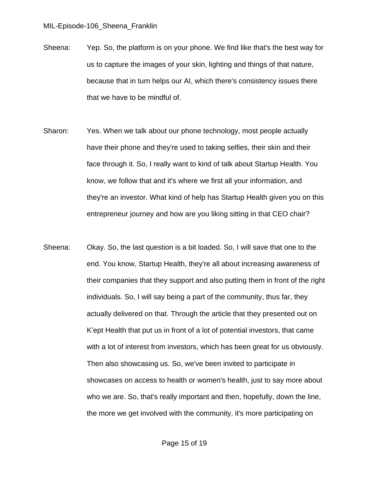- Sheena: Yep. So, the platform is on your phone. We find like that's the best way for us to capture the images of your skin, lighting and things of that nature, because that in turn helps our AI, which there's consistency issues there that we have to be mindful of.
- Sharon: Yes. When we talk about our phone technology, most people actually have their phone and they're used to taking selfies, their skin and their face through it. So, I really want to kind of talk about Startup Health. You know, we follow that and it's where we first all your information, and they're an investor. What kind of help has Startup Health given you on this entrepreneur journey and how are you liking sitting in that CEO chair?
- Sheena: Okay. So, the last question is a bit loaded. So, I will save that one to the end. You know, Startup Health, they're all about increasing awareness of their companies that they support and also putting them in front of the right individuals. So, I will say being a part of the community, thus far, they actually delivered on that. Through the article that they presented out on K'ept Health that put us in front of a lot of potential investors, that came with a lot of interest from investors, which has been great for us obviously. Then also showcasing us. So, we've been invited to participate in showcases on access to health or women's health, just to say more about who we are. So, that's really important and then, hopefully, down the line, the more we get involved with the community, it's more participating on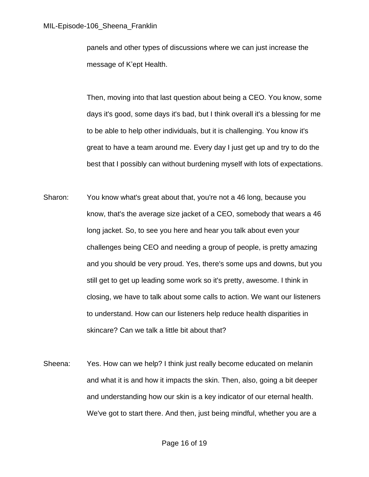panels and other types of discussions where we can just increase the message of K'ept Health.

Then, moving into that last question about being a CEO. You know, some days it's good, some days it's bad, but I think overall it's a blessing for me to be able to help other individuals, but it is challenging. You know it's great to have a team around me. Every day I just get up and try to do the best that I possibly can without burdening myself with lots of expectations.

- Sharon: You know what's great about that, you're not a 46 long, because you know, that's the average size jacket of a CEO, somebody that wears a 46 long jacket. So, to see you here and hear you talk about even your challenges being CEO and needing a group of people, is pretty amazing and you should be very proud. Yes, there's some ups and downs, but you still get to get up leading some work so it's pretty, awesome. I think in closing, we have to talk about some calls to action. We want our listeners to understand. How can our listeners help reduce health disparities in skincare? Can we talk a little bit about that?
- Sheena: Yes. How can we help? I think just really become educated on melanin and what it is and how it impacts the skin. Then, also, going a bit deeper and understanding how our skin is a key indicator of our eternal health. We've got to start there. And then, just being mindful, whether you are a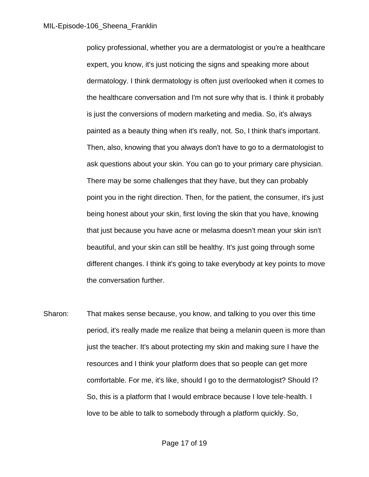policy professional, whether you are a dermatologist or you're a healthcare expert, you know, it's just noticing the signs and speaking more about dermatology. I think dermatology is often just overlooked when it comes to the healthcare conversation and I'm not sure why that is. I think it probably is just the conversions of modern marketing and media. So, it's always painted as a beauty thing when it's really, not. So, I think that's important. Then, also, knowing that you always don't have to go to a dermatologist to ask questions about your skin. You can go to your primary care physician. There may be some challenges that they have, but they can probably point you in the right direction. Then, for the patient, the consumer, it's just being honest about your skin, first loving the skin that you have, knowing that just because you have acne or melasma doesn't mean your skin isn't beautiful, and your skin can still be healthy. It's just going through some different changes. I think it's going to take everybody at key points to move the conversation further.

Sharon: That makes sense because, you know, and talking to you over this time period, it's really made me realize that being a melanin queen is more than just the teacher. It's about protecting my skin and making sure I have the resources and I think your platform does that so people can get more comfortable. For me, it's like, should I go to the dermatologist? Should I? So, this is a platform that I would embrace because I love tele-health. I love to be able to talk to somebody through a platform quickly. So,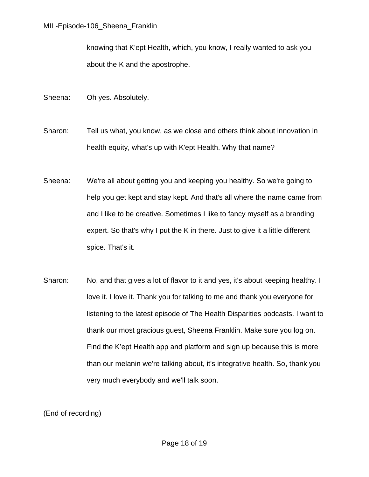knowing that K'ept Health, which, you know, I really wanted to ask you about the K and the apostrophe.

- Sheena: Oh yes. Absolutely.
- Sharon: Tell us what, you know, as we close and others think about innovation in health equity, what's up with K'ept Health. Why that name?
- Sheena: We're all about getting you and keeping you healthy. So we're going to help you get kept and stay kept. And that's all where the name came from and I like to be creative. Sometimes I like to fancy myself as a branding expert. So that's why I put the K in there. Just to give it a little different spice. That's it.
- Sharon: No, and that gives a lot of flavor to it and yes, it's about keeping healthy. I love it. I love it. Thank you for talking to me and thank you everyone for listening to the latest episode of The Health Disparities podcasts. I want to thank our most gracious guest, Sheena Franklin. Make sure you log on. Find the K'ept Health app and platform and sign up because this is more than our melanin we're talking about, it's integrative health. So, thank you very much everybody and we'll talk soon.

(End of recording)